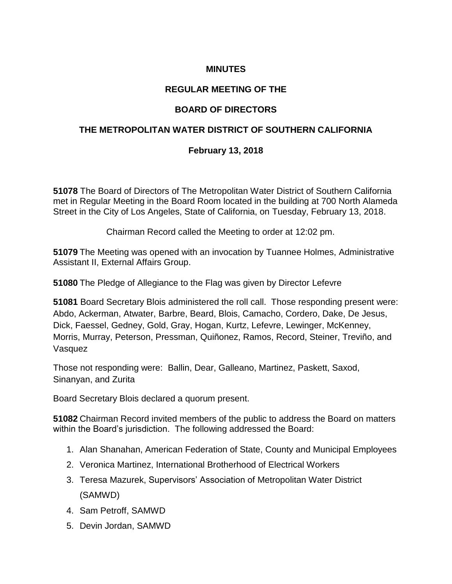# **MINUTES**

### **REGULAR MEETING OF THE**

### **BOARD OF DIRECTORS**

#### **THE METROPOLITAN WATER DISTRICT OF SOUTHERN CALIFORNIA**

#### **February 13, 2018**

**51078** The Board of Directors of The Metropolitan Water District of Southern California met in Regular Meeting in the Board Room located in the building at 700 North Alameda Street in the City of Los Angeles, State of California, on Tuesday, February 13, 2018.

Chairman Record called the Meeting to order at 12:02 pm.

**51079** The Meeting was opened with an invocation by Tuannee Holmes, Administrative Assistant II, External Affairs Group.

**51080** The Pledge of Allegiance to the Flag was given by Director Lefevre

**51081** Board Secretary Blois administered the roll call. Those responding present were: Abdo, Ackerman, Atwater, Barbre, Beard, Blois, Camacho, Cordero, Dake, De Jesus, Dick, Faessel, Gedney, Gold, Gray, Hogan, Kurtz, Lefevre, Lewinger, McKenney, Morris, Murray, Peterson, Pressman, Quiñonez, Ramos, Record, Steiner, Treviño, and Vasquez

Those not responding were: Ballin, Dear, Galleano, Martinez, Paskett, Saxod, Sinanyan, and Zurita

Board Secretary Blois declared a quorum present.

**51082** Chairman Record invited members of the public to address the Board on matters within the Board's jurisdiction. The following addressed the Board:

- 1. Alan Shanahan, American Federation of State, County and Municipal Employees
- 2. Veronica Martinez, International Brotherhood of Electrical Workers
- 3. Teresa Mazurek, Supervisors' Association of Metropolitan Water District (SAMWD)
- 4. Sam Petroff, SAMWD
- 5. Devin Jordan, SAMWD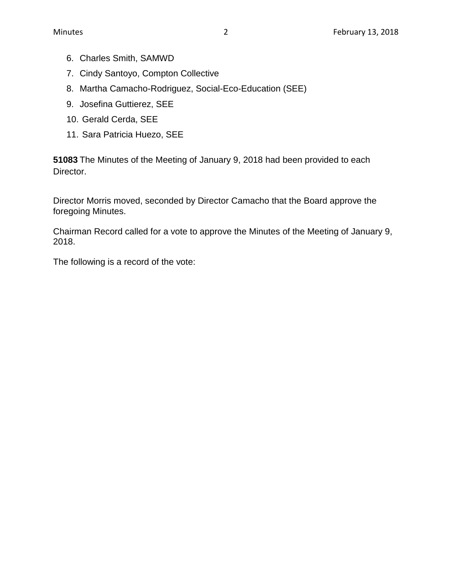- 6. Charles Smith, SAMWD
- 7. Cindy Santoyo, Compton Collective
- 8. Martha Camacho-Rodriguez, Social-Eco-Education (SEE)
- 9. Josefina Guttierez, SEE
- 10. Gerald Cerda, SEE
- 11. Sara Patricia Huezo, SEE

**51083** The Minutes of the Meeting of January 9, 2018 had been provided to each Director.

Director Morris moved, seconded by Director Camacho that the Board approve the foregoing Minutes.

Chairman Record called for a vote to approve the Minutes of the Meeting of January 9, 2018.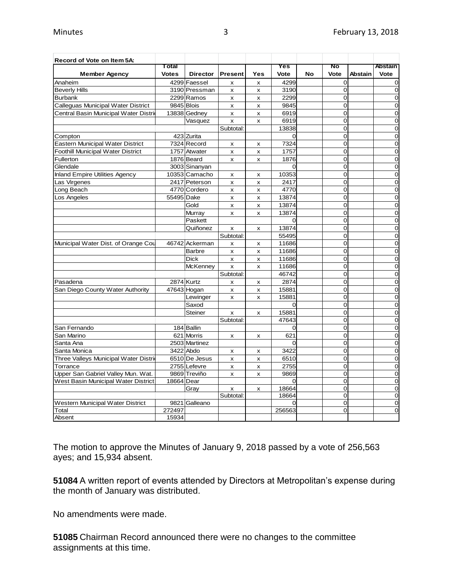| Record of Vote on Item 5A:               |              |                 |                           |     |          |    |                |         |                |
|------------------------------------------|--------------|-----------------|---------------------------|-----|----------|----|----------------|---------|----------------|
|                                          | Total        |                 |                           |     | Yes      |    | No             |         | <b>Abstain</b> |
| <b>Member Agency</b>                     | <b>Votes</b> | <b>Director</b> | <b>Present</b>            | Yes | Vote     | No | Vote           | Abstain | Vote           |
| Anaheim                                  |              | 4299 Faessel    | x                         | X   | 4299     |    | $\mathbf 0$    |         | 0              |
| Beverly Hills                            |              | 3190 Pressman   | x                         | x   | 3190     |    | $\mathbf 0$    |         | 0              |
| <b>Burbank</b>                           |              | 2299 Ramos      | x                         | x   | 2299     |    | 0              |         | 0              |
| Calleguas Municipal Water District       | 9845 Blois   |                 | $\pmb{\times}$            | x   | 9845     |    | $\mathbf 0$    |         | 0              |
| Central Basin Municipal Water Distri     |              | 13838 Gedney    | x                         | x   | 6919     |    | $\Omega$       |         | 0              |
|                                          |              | Vasquez         | $\boldsymbol{\mathsf{x}}$ | X   | 6919     |    | $\Omega$       |         | 0              |
|                                          |              |                 | Subtotal:                 |     | 13838    |    | $\Omega$       |         | $\overline{0}$ |
| Compton                                  |              | 423 Zurita      |                           |     | 0        |    | $\overline{0}$ |         | 0              |
| Eastern Municipal Water District         |              | 7324 Record     | x                         | x   | 7324     |    | $\overline{0}$ |         | 0              |
| <b>Foothill Municipal Water District</b> |              | 1757 Atwater    | x                         | x   | 1757     |    | $\mathbf 0$    |         | 0              |
| Fullerton                                |              | 1876 Beard      | $\mathsf{x}$              | x   | 1876     |    | $\overline{0}$ |         | $\mathbf 0$    |
| Glendale                                 |              | 3003 Sinanyan   |                           |     | $\Omega$ |    | 0              |         | 0              |
| <b>Inland Empire Utilities Agency</b>    |              | 10353 Camacho   | x                         | x   | 10353    |    | 0              |         | 0              |
| Las Virgenes                             |              | 2417 Peterson   | $\pmb{\times}$            | x   | 2417     |    | 0              |         | 0              |
| Long Beach                               |              | 4770 Cordero    | X                         | X   | 4770     |    | $\mathbf 0$    |         | $\overline{0}$ |
| Los Angeles                              | 55495 Dake   |                 | x                         | x   | 13874    |    | $\Omega$       |         | $\overline{0}$ |
|                                          |              | Gold            | x                         | x   | 13874    |    | $\overline{0}$ |         | $\overline{O}$ |
|                                          |              | Murray          | $\pmb{\times}$            | x   | 13874    |    | $\overline{0}$ |         | 0              |
|                                          |              | Paskett         |                           |     | $\Omega$ |    | $\overline{0}$ |         | $\mathbf 0$    |
|                                          |              | Quiñonez        | x                         | x   | 13874    |    | $\overline{0}$ |         | $\overline{0}$ |
|                                          |              |                 | Subtotal:                 |     | 55495    |    | $\mathbf 0$    |         | $\mathbf 0$    |
| Municipal Water Dist. of Orange Cou      |              | 46742 Ackerman  | x                         | x   | 11686    |    | 0              |         | 0              |
|                                          |              | <b>Barbre</b>   | $\pmb{\times}$            | x   | 11686    |    | 0              |         | 0              |
|                                          |              | <b>Dick</b>     | x                         | x   | 11686    |    | 0              |         | $\mathbf 0$    |
|                                          |              | <b>McKenney</b> | $\boldsymbol{\mathsf{x}}$ | X   | 11686    |    | $\overline{0}$ |         | $\overline{0}$ |
|                                          |              |                 | Subtotal:                 |     | 46742    |    | $\Omega$       |         | $\overline{0}$ |
| Pasadena                                 |              | 2874 Kurtz      | x                         | x   | 2874     |    | $\overline{0}$ |         | $\overline{0}$ |
| San Diego County Water Authority         |              | 47643 Hogan     | x                         | x   | 15881    |    | $\overline{0}$ |         | $\mathbf 0$    |
|                                          |              | Lewinger        | x                         | x   | 15881    |    | $\mathbf 0$    |         | 0              |
|                                          |              | Saxod           |                           |     | $\Omega$ |    | $\overline{0}$ |         | $\overline{0}$ |
|                                          |              | <b>Steiner</b>  | x                         | x   | 15881    |    | $\mathbf 0$    |         | $\mathbf 0$    |
|                                          |              |                 | Subtotal:                 |     | 47643    |    | 0              |         | 0              |
| San Fernando                             |              | 184 Ballin      |                           |     | 0        |    | $\mathbf 0$    |         | 0              |
| San Marino                               |              | 621 Morris      | x                         | x   | 621      |    | 0              |         | 0              |
| Santa Ana                                |              | 2503 Martinez   |                           |     | $\Omega$ |    | $\Omega$       |         | $\mathbf 0$    |
| Santa Monica                             |              | 3422 Abdo       | x                         | x   | 3422     |    | $\mathbf 0$    |         | $\mathbf 0$    |
| Three Valleys Municipal Water Distrie    |              | 6510 De Jesus   | x                         | x   | 6510     |    | $\overline{0}$ |         | 0              |
| Torrance                                 |              | 2755 Lefevre    | X                         | x   | 2755     |    | $\overline{0}$ |         | $\mathbf 0$    |
| Upper San Gabriel Valley Mun. Wat.       |              | 9869 Treviño    | x                         | x   | 9869     |    | 0              |         | $\mathbf 0$    |
| West Basin Municipal Water District      | 18664 Dear   |                 |                           |     | 0        |    | 0              |         | 0              |
|                                          |              | Gray            | X                         | X   | 18664    |    | 0              |         | $\overline{0}$ |
|                                          |              |                 | Subtotal:                 |     | 18664    |    | $\overline{0}$ |         | 0              |
| Western Municipal Water District         |              | 9821 Galleano   |                           |     |          |    | $\mathbf 0$    |         | 0              |
| Total                                    | 272497       |                 |                           |     | 256563   |    | $\Omega$       |         | 0              |
| Absent                                   | 15934        |                 |                           |     |          |    |                |         |                |

The motion to approve the Minutes of January 9, 2018 passed by a vote of 256,563 ayes; and 15,934 absent.

**51084** A written report of events attended by Directors at Metropolitan's expense during the month of January was distributed.

No amendments were made.

**51085** Chairman Record announced there were no changes to the committee assignments at this time.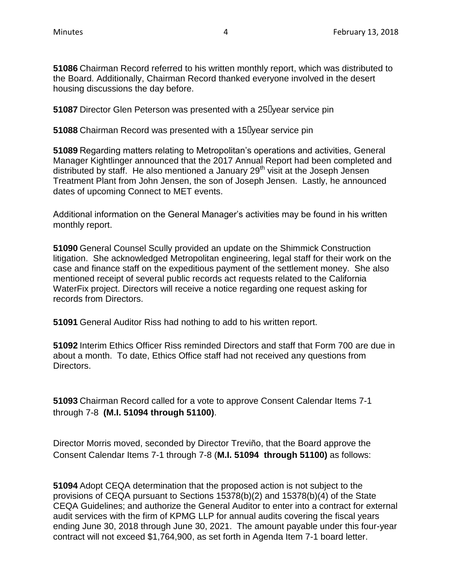**51086** Chairman Record referred to his written monthly report, which was distributed to the Board. Additionally, Chairman Record thanked everyone involved in the desert housing discussions the day before.

**51087** Director Glen Peterson was presented with a 25-year service pin

**51088** Chairman Record was presented with a 15-year service pin

**51089** Regarding matters relating to Metropolitan's operations and activities, General Manager Kightlinger announced that the 2017 Annual Report had been completed and distributed by staff. He also mentioned a January  $29<sup>th</sup>$  visit at the Joseph Jensen Treatment Plant from John Jensen, the son of Joseph Jensen. Lastly, he announced dates of upcoming Connect to MET events.

Additional information on the General Manager's activities may be found in his written monthly report.

**51090** General Counsel Scully provided an update on the Shimmick Construction litigation. She acknowledged Metropolitan engineering, legal staff for their work on the case and finance staff on the expeditious payment of the settlement money. She also mentioned receipt of several public records act requests related to the California WaterFix project. Directors will receive a notice regarding one request asking for records from Directors.

**51091** General Auditor Riss had nothing to add to his written report.

**51092** Interim Ethics Officer Riss reminded Directors and staff that Form 700 are due in about a month. To date, Ethics Office staff had not received any questions from Directors.

**51093** Chairman Record called for a vote to approve Consent Calendar Items 7-1 through 7-8 **(M.I. 51094 through 51100)**.

Director Morris moved, seconded by Director Treviño, that the Board approve the Consent Calendar Items 7-1 through 7-8 (**M.I. 51094 through 51100)** as follows:

**51094** Adopt CEQA determination that the proposed action is not subject to the provisions of CEQA pursuant to Sections 15378(b)(2) and 15378(b)(4) of the State CEQA Guidelines; and authorize the General Auditor to enter into a contract for external audit services with the firm of KPMG LLP for annual audits covering the fiscal years ending June 30, 2018 through June 30, 2021. The amount payable under this four-year contract will not exceed \$1,764,900, as set forth in Agenda Item 7-1 board letter.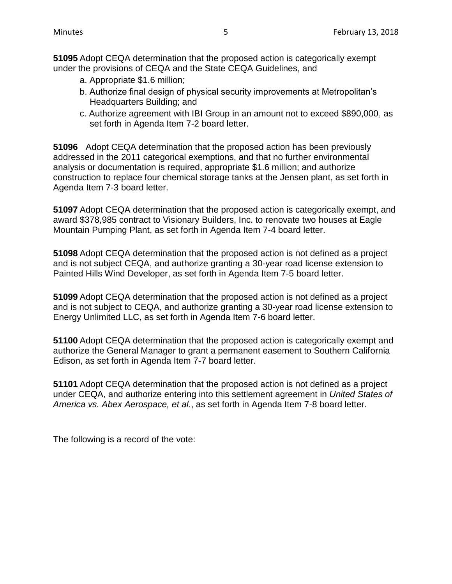**51095** Adopt CEQA determination that the proposed action is categorically exempt under the provisions of CEQA and the State CEQA Guidelines, and

- a. Appropriate \$1.6 million;
- b. Authorize final design of physical security improvements at Metropolitan's Headquarters Building; and
- c. Authorize agreement with IBI Group in an amount not to exceed \$890,000, as set forth in Agenda Item 7-2 board letter.

**51096** Adopt CEQA determination that the proposed action has been previously addressed in the 2011 categorical exemptions, and that no further environmental analysis or documentation is required, appropriate \$1.6 million; and authorize construction to replace four chemical storage tanks at the Jensen plant, as set forth in Agenda Item 7-3 board letter.

**51097** Adopt CEQA determination that the proposed action is categorically exempt, and award \$378,985 contract to Visionary Builders, Inc. to renovate two houses at Eagle Mountain Pumping Plant, as set forth in Agenda Item 7-4 board letter.

**51098** Adopt CEQA determination that the proposed action is not defined as a project and is not subject CEQA, and authorize granting a 30-year road license extension to Painted Hills Wind Developer, as set forth in Agenda Item 7-5 board letter.

**51099** Adopt CEQA determination that the proposed action is not defined as a project and is not subject to CEQA, and authorize granting a 30-year road license extension to Energy Unlimited LLC, as set forth in Agenda Item 7-6 board letter.

**51100** Adopt CEQA determination that the proposed action is categorically exempt and authorize the General Manager to grant a permanent easement to Southern California Edison, as set forth in Agenda Item 7-7 board letter.

**51101** Adopt CEQA determination that the proposed action is not defined as a project under CEQA, and authorize entering into this settlement agreement in *United States of America vs. Abex Aerospace, et al*., as set forth in Agenda Item 7-8 board letter.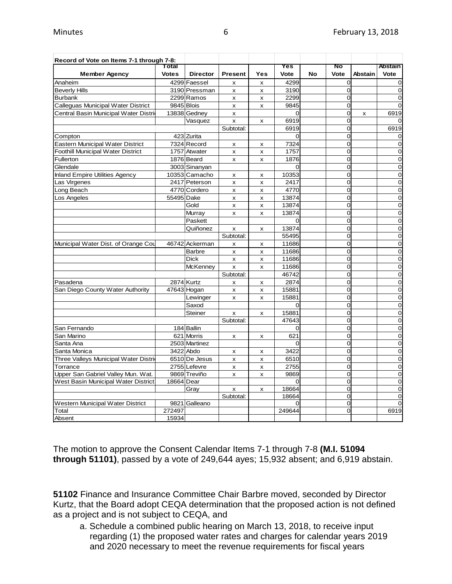| Record of Vote on Items 7-1 through 7-8: |              |                 |                           |                           |          |    |                |                |                |
|------------------------------------------|--------------|-----------------|---------------------------|---------------------------|----------|----|----------------|----------------|----------------|
|                                          | Total        |                 |                           |                           | Yes      |    | No             |                | Abstain        |
| <b>Member Agency</b>                     | <b>Votes</b> | <b>Director</b> | <b>Present</b>            | Yes                       | Vote     | No | Vote           | <b>Abstain</b> | Vote           |
| Anaheim                                  |              | 4299 Faessel    | $\mathsf{x}$              | X                         | 4299     |    | 0              |                | $\mathbf 0$    |
| <b>Beverly Hills</b>                     |              | 3190 Pressman   | $\mathsf{x}$              | x                         | 3190     |    | $\overline{O}$ |                | $\mathbf 0$    |
| <b>Burbank</b>                           |              | 2299 Ramos      | x                         | x                         | 2299     |    | 0              |                | $\overline{0}$ |
| Calleguas Municipal Water District       |              | 9845 Blois      | x                         | $\pmb{\mathsf{x}}$        | 9845     |    | O              |                | $\overline{0}$ |
| Central Basin Municipal Water Distric    |              | 13838 Gedney    | X                         |                           | 0        |    | 0              | X              | 6919           |
|                                          |              | Vasquez         | $\boldsymbol{\mathsf{x}}$ | $\boldsymbol{\mathsf{x}}$ | 6919     |    | $\Omega$       |                | $\Omega$       |
|                                          |              |                 | Subtotal:                 |                           | 6919     |    | O              |                | 6919           |
| Compton                                  |              | 423 Zurita      |                           |                           | 0        |    | O              |                | 0              |
| <b>Eastern Municipal Water District</b>  |              | 7324 Record     | X                         | X                         | 7324     |    | $\overline{O}$ |                | $\overline{0}$ |
| <b>Foothill Municipal Water District</b> |              | 1757 Atwater    | X                         | X                         | 1757     |    | 0              |                | 0              |
| Fullerton                                |              | 1876 Beard      | x                         | $\pmb{\times}$            | 1876     |    | $\overline{O}$ |                | $\mathbf 0$    |
| Glendale                                 |              | 3003 Sinanyan   |                           |                           | 0        |    | 0              |                | $\mathbf 0$    |
| <b>Inland Empire Utilities Agency</b>    |              | 10353 Camacho   | x                         | X                         | 10353    |    | $\overline{O}$ |                | $\mathbf 0$    |
| Las Virgenes                             |              | 2417 Peterson   | $\pmb{\times}$            | $\pmb{\mathsf{x}}$        | 2417     |    | $\overline{O}$ |                | $\mathbf 0$    |
| Long Beach                               |              | 4770 Cordero    | X                         | x                         | 4770     |    | $\overline{O}$ |                | $\mathbf 0$    |
| Los Angeles                              | 55495 Dake   |                 | x                         | X                         | 13874    |    | O              |                | $\mathbf 0$    |
|                                          |              | Gold            | x                         | X                         | 13874    |    | $\overline{O}$ |                | $\mathbf 0$    |
|                                          |              | Murray          | X                         | X                         | 13874    |    | $\overline{O}$ |                | $\mathbf 0$    |
|                                          |              | Paskett         |                           |                           | $\Omega$ |    | $\overline{O}$ |                | $\overline{0}$ |
|                                          |              | Quiñonez        |                           |                           | 13874    |    | $\overline{O}$ |                | $\mathbf 0$    |
|                                          |              |                 | x<br>Subtotal:            | х                         | 55495    |    | $\mathbf 0$    |                | $\mathbf 0$    |
| Municipal Water Dist. of Orange Cou      |              | 46742 Ackerman  |                           |                           | 11686    |    | $\overline{O}$ |                | $\mathbf 0$    |
|                                          |              | <b>Barbre</b>   | x                         | X                         | 11686    |    | $\Omega$       |                | $\mathbf 0$    |
|                                          |              |                 | x                         | x                         |          |    | $\overline{O}$ |                | $\mathbf 0$    |
|                                          |              | <b>Dick</b>     | X                         | x                         | 11686    |    |                |                |                |
|                                          |              | McKenney        | X                         | x                         | 11686    |    | O              |                | $\mathbf 0$    |
|                                          |              |                 | Subtotal:                 |                           | 46742    |    | 0              |                | $\mathbf 0$    |
| Pasadena                                 |              | 2874 Kurtz      | X                         | x                         | 2874     |    | $\Omega$       |                | $\overline{0}$ |
| San Diego County Water Authority         |              | 47643 Hogan     | x                         | x                         | 15881    |    | $\overline{O}$ |                | $\mathbf 0$    |
|                                          |              | Lewinger        | x                         | x                         | 15881    |    | $\overline{O}$ |                | $\mathbf 0$    |
|                                          |              | Saxod           |                           |                           | 0        |    | 0              |                | $\mathbf 0$    |
|                                          |              | <b>Steiner</b>  | X                         | X                         | 15881    |    | $\overline{O}$ |                | $\mathbf 0$    |
|                                          |              |                 | Subtotal:                 |                           | 47643    |    | $\overline{O}$ |                | $\mathbf 0$    |
| San Fernando                             |              | 184 Ballin      |                           |                           | 0        |    | $\overline{O}$ |                | $\overline{0}$ |
| San Marino                               |              | 621 Morris      | x                         | x                         | 621      |    | $\overline{O}$ |                | $\mathbf 0$    |
| Santa Ana                                |              | 2503 Martinez   |                           |                           | $\Omega$ |    | $\overline{O}$ |                | $\mathbf 0$    |
| Santa Monica                             |              | 3422 Abdo       | X                         | x                         | 3422     |    | $\overline{O}$ |                | $\mathbf 0$    |
| Three Valleys Municipal Water Distric    |              | 6510 De Jesus   | x                         | x                         | 6510     |    | 0              |                | $\mathbf 0$    |
| Torrance                                 |              | 2755 Lefevre    | $\boldsymbol{\mathsf{x}}$ | X                         | 2755     |    | $\Omega$       |                | $\mathbf 0$    |
| Upper San Gabriel Valley Mun. Wat.       |              | 9869 Treviño    | X                         | x                         | 9869     |    | $\overline{O}$ |                | $\mathbf 0$    |
| West Basin Municipal Water District      | 18664 Dear   |                 |                           |                           | $\Omega$ |    | $\overline{O}$ |                | $\mathbf 0$    |
|                                          |              | Gray            | x                         | x                         | 18664    |    | 0              |                | $\overline{0}$ |
|                                          |              |                 | Subtotal:                 |                           | 18664    |    | $\overline{O}$ |                | $\mathbf 0$    |
| Western Municipal Water District         |              | 9821 Galleano   |                           |                           | 0        |    | $\overline{O}$ |                | $\mathbf 0$    |
| Total                                    | 272497       |                 |                           |                           | 249644   |    | $\overline{O}$ |                | 6919           |
| Absent                                   | 15934        |                 |                           |                           |          |    |                |                |                |

The motion to approve the Consent Calendar Items 7-1 through 7-8 **(M.I. 51094 through 51101)**, passed by a vote of 249,644 ayes; 15,932 absent; and 6,919 abstain.

**51102** Finance and Insurance Committee Chair Barbre moved, seconded by Director Kurtz, that the Board adopt CEQA determination that the proposed action is not defined as a project and is not subject to CEQA, and

a. Schedule a combined public hearing on March 13, 2018, to receive input regarding (1) the proposed water rates and charges for calendar years 2019 and 2020 necessary to meet the revenue requirements for fiscal years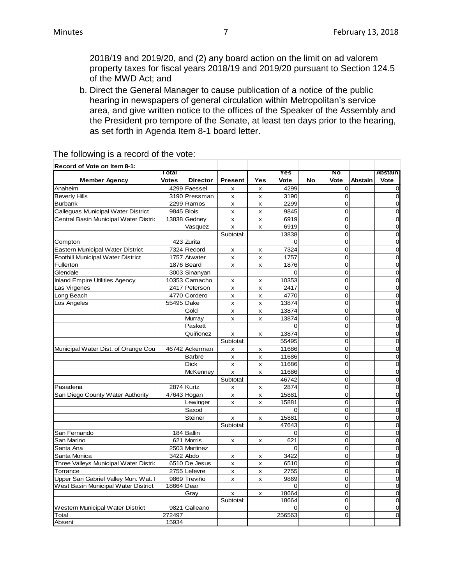2018/19 and 2019/20, and (2) any board action on the limit on ad valorem property taxes for fiscal years 2018/19 and 2019/20 pursuant to Section 124.5 of the MWD Act; and

b. Direct the General Manager to cause publication of a notice of the public hearing in newspapers of general circulation within Metropolitan's service area, and give written notice to the offices of the Speaker of the Assembly and the President pro tempore of the Senate, at least ten days prior to the hearing, as set forth in Agenda Item 8-1 board letter.

| Record of Vote on Item 8-1:              |              |                 |                           |                |          |           |                |         |                |
|------------------------------------------|--------------|-----------------|---------------------------|----------------|----------|-----------|----------------|---------|----------------|
|                                          | Total        |                 |                           |                | Yes      |           | No             |         | Abstain        |
| <b>Member Agency</b>                     | <b>Votes</b> | <b>Director</b> | <b>Present</b>            | Yes            | Vote     | <b>No</b> | Vote           | Abstain | Vote           |
| Anaheim                                  |              | 4299 Faessel    | x                         | x              | 4299     |           | $\Omega$       |         | $\mathbf 0$    |
| <b>Beverly Hills</b>                     |              | 3190 Pressman   | x                         | x              | 3190     |           | 0              |         | 0              |
| <b>Burbank</b>                           |              | 2299 Ramos      | x                         | x              | 2299     |           | 0              |         | 0              |
| Calleguas Municipal Water District       |              | 9845 Blois      | x                         | x              | 9845     |           | $\Omega$       |         | $\overline{0}$ |
| Central Basin Municipal Water Distric    |              | 13838 Gedney    | x                         | x              | 6919     |           | $\Omega$       |         | $\overline{0}$ |
|                                          |              | Vasquez         | x                         | x              | 6919     |           | $\Omega$       |         | $\mathbf 0$    |
|                                          |              |                 | Subtotal:                 |                | 13838    |           | O              |         | $\overline{0}$ |
| Compton                                  |              | 423 Zurita      |                           |                | $\Omega$ |           | $\Omega$       |         | $\overline{0}$ |
| Eastern Municipal Water District         |              | 7324 Record     | X                         | x              | 7324     |           | $\Omega$       |         | 0              |
| <b>Foothill Municipal Water District</b> |              | 1757 Atwater    | x                         | x              | 1757     |           | O              |         | $\mathbf 0$    |
| Fullerton                                |              | 1876 Beard      | x                         | x              | 1876     |           | 0              |         | $\mathbf 0$    |
| Glendale                                 |              | 3003 Sinanyan   |                           |                | $\Omega$ |           | $\Omega$       |         | $\mathbf 0$    |
| <b>Inland Empire Utilities Agency</b>    |              | 10353 Camacho   | x                         | x              | 10353    |           | $\Omega$       |         | $\overline{O}$ |
| Las Virgenes                             |              | 2417 Peterson   | x                         | x              | 2417     |           | $\Omega$       |         | $\overline{0}$ |
| Long Beach                               |              | 4770 Cordero    | x                         | x              | 4770     |           | $\Omega$       |         | $\mathbf 0$    |
| Los Angeles                              | 55495 Dake   |                 | x                         | X              | 13874    |           | O              |         | $\mathbf 0$    |
|                                          |              | Gold            | x                         | x              | 13874    |           | $\Omega$       |         | $\mathbf 0$    |
|                                          |              | Murray          | x                         | x              | 13874    |           | $\overline{0}$ |         | $\mathbf 0$    |
|                                          |              | Paskett         |                           |                | $\Omega$ |           | $\Omega$       |         | 0              |
|                                          |              | Quiñonez        | x                         | x              | 13874    |           | $\Omega$       |         | $\mathbf 0$    |
|                                          |              |                 | Subtotal:                 |                | 55495    |           | 0              |         | $\mathbf 0$    |
| Municipal Water Dist. of Orange Cou      |              | 46742 Ackerman  | x                         | X              | 11686    |           | O              |         | $\overline{0}$ |
|                                          |              | <b>Barbre</b>   | x                         | x              | 11686    |           | $\Omega$       |         | $\overline{0}$ |
|                                          |              | <b>Dick</b>     | x                         | x              | 11686    |           | 0              |         | $\mathbf 0$    |
|                                          |              | <b>McKenney</b> | x                         | X              | 11686    |           | O              |         | $\mathbf 0$    |
|                                          |              |                 | Subtotal:                 |                | 46742    |           | $\Omega$       |         | $\overline{0}$ |
| Pasadena                                 |              | 2874 Kurtz      | x                         | x              | 2874     |           | $\overline{0}$ |         | $\mathbf 0$    |
| San Diego County Water Authority         |              | 47643 Hogan     | $\boldsymbol{\mathsf{x}}$ | $\pmb{\times}$ | 15881    |           | $\Omega$       |         | 0              |
|                                          |              | Lewinger        | x                         | x              | 15881    |           | 0              |         | $\overline{0}$ |
|                                          |              | Saxod           |                           |                | $\Omega$ |           | 0              |         | $\mathbf 0$    |
|                                          |              | Steiner         | x                         | x              | 15881    |           | $\Omega$       |         | $\Omega$       |
|                                          |              |                 | Subtotal:                 |                | 47643    |           | $\Omega$       |         | $\mathbf 0$    |
| San Fernando                             |              | 184 Ballin      |                           |                | 0        |           | $\Omega$       |         | $\mathbf 0$    |
| San Marino                               |              | 621 Morris      | x                         | x              | 621      |           | 0              |         | $\mathbf 0$    |
| Santa Ana                                |              | 2503 Martinez   |                           |                | $\Omega$ |           | O              |         | $\mathbf 0$    |
| Santa Monica                             |              | 3422 Abdo       | x                         | x              | 3422     |           | O              |         | $\mathbf 0$    |
| Three Valleys Municipal Water Distrid    |              | 6510 De Jesus   | x                         | x              | 6510     |           | 0              |         | 0              |
| Torrance                                 |              | 2755 Lefevre    | x                         | x              | 2755     |           | 0              |         | $\overline{0}$ |
| Upper San Gabriel Valley Mun. Wat.       |              | 9869 Treviño    | x                         | x              | 9869     |           | $\Omega$       |         | $\mathbf 0$    |
| West Basin Municipal Water District      | 18664 Dear   |                 |                           |                | $\Omega$ |           | O              |         | $\mathbf 0$    |
|                                          |              | Gray            | x                         | x              | 18664    |           | 0              |         | $\mathbf 0$    |
|                                          |              |                 | Subtotal:                 |                | 18664    |           | 0              |         | $\mathbf 0$    |
| Western Municipal Water District         |              | 9821 Galleano   |                           |                | $\Omega$ |           | 0              |         | 0              |
| Total                                    | 272497       |                 |                           |                | 256563   |           | 0              |         | $\mathbf 0$    |
| Absent                                   | 15934        |                 |                           |                |          |           |                |         |                |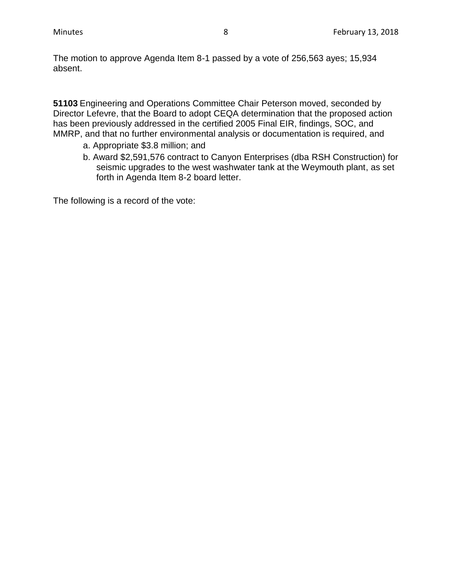The motion to approve Agenda Item 8-1 passed by a vote of 256,563 ayes; 15,934 absent.

**51103** Engineering and Operations Committee Chair Peterson moved, seconded by Director Lefevre, that the Board to adopt CEQA determination that the proposed action has been previously addressed in the certified 2005 Final EIR, findings, SOC, and MMRP, and that no further environmental analysis or documentation is required, and

- a. Appropriate \$3.8 million; and
- b. Award \$2,591,576 contract to Canyon Enterprises (dba RSH Construction) for seismic upgrades to the west washwater tank at the Weymouth plant, as set forth in Agenda Item 8-2 board letter.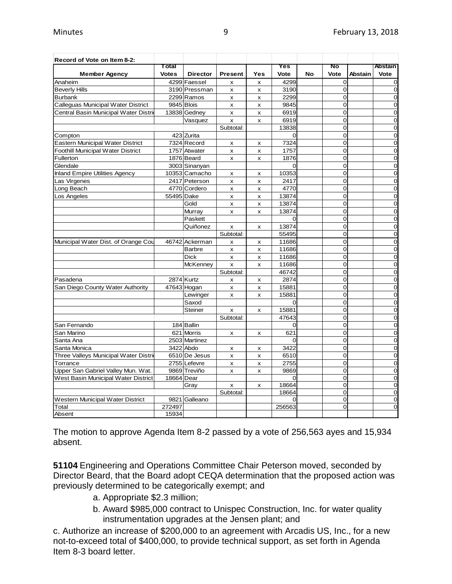| Record of Vote on Item 8-2:           |              |                 |                |                |          |    |                |                |                |
|---------------------------------------|--------------|-----------------|----------------|----------------|----------|----|----------------|----------------|----------------|
|                                       | Total        |                 |                |                | Yes      |    | No             |                | <b>Abstain</b> |
| <b>Member Agency</b>                  | <b>Votes</b> | <b>Director</b> | <b>Present</b> | Yes            | Vote     | No | Vote           | <b>Abstain</b> | <b>Vote</b>    |
| Anaheim                               |              | 4299 Faessel    | X              | x              | 4299     |    | 0              |                | 0              |
| <b>Beverly Hills</b>                  |              | 3190 Pressman   | x              | x              | 3190     |    | 0              |                | $\Omega$       |
| <b>Burbank</b>                        |              | 2299 Ramos      | X              | X              | 2299     |    | 0              |                | 0              |
| Calleguas Municipal Water District    |              | 9845 Blois      | x              | x              | 9845     |    | $\overline{0}$ |                | $\Omega$       |
| Central Basin Municipal Water Distric |              | 13838 Gedney    | x              | x              | 6919     |    | 0              |                | 0              |
|                                       |              | Vasquez         | X              | x              | 6919     |    | 0              |                | 0              |
|                                       |              |                 | Subtotal:      |                | 13838    |    | 0              |                | $\overline{0}$ |
| Compton                               |              | 423 Zurita      |                |                | $\Omega$ |    | $\overline{0}$ |                | 0              |
| Eastern Municipal Water District      |              | 7324 Record     | X              | x              | 7324     |    | 0              |                | 0              |
| Foothill Municipal Water District     |              | 1757 Atwater    | x              | x              | 1757     |    | 0              |                | 0              |
| Fullerton                             |              | 1876 Beard      | x              | x              | 1876     |    | O              |                | $\overline{O}$ |
| Glendale                              |              | 3003 Sinanyan   |                |                | $\Omega$ |    | 0              |                | $\overline{O}$ |
| <b>Inland Empire Utilities Agency</b> |              | 10353 Camacho   | X              | x              | 10353    |    | $\overline{O}$ |                | $\overline{0}$ |
| Las Virgenes                          |              | 2417 Peterson   | X              | $\pmb{\times}$ | 2417     |    | 0              |                | $\mathbf 0$    |
| Long Beach                            |              | 4770 Cordero    | x              | x              | 4770     |    | $\overline{O}$ |                | 0              |
| Los Angeles                           | 55495 Dake   |                 | x              | x              | 13874    |    | 0              |                | $\overline{O}$ |
|                                       |              | Gold            | x              | x              | 13874    |    | 0              |                | 0              |
|                                       |              | Murray          | x              | x              | 13874    |    | O              |                | 0              |
|                                       |              | Paskett         |                |                | $\Omega$ |    | 0              |                | $\overline{0}$ |
|                                       |              | Quiñonez        | x              | x              | 13874    |    | 0              |                | $\overline{0}$ |
|                                       |              |                 | Subtotal:      |                | 55495    |    | 0              |                | $\overline{0}$ |
| Municipal Water Dist. of Orange Cou   |              | 46742 Ackerman  | x              | x              | 11686    |    | O              |                | 0              |
|                                       |              | <b>Barbre</b>   | x              | $\pmb{\times}$ | 11686    |    | 0              |                | $\overline{0}$ |
|                                       |              | <b>Dick</b>     | x              | x              | 11686    |    | 0              |                | 0              |
|                                       |              | <b>McKenney</b> | x              | X              | 11686    |    | $\overline{0}$ |                | $\Omega$       |
|                                       |              |                 | Subtotal:      |                | 46742    |    | O              |                | 0              |
| Pasadena                              |              | 2874 Kurtz      | X              | x              | 2874     |    | $\overline{O}$ |                | $\overline{0}$ |
| San Diego County Water Authority      |              | 47643 Hogan     | x              | x              | 15881    |    | 0              |                | $\overline{O}$ |
|                                       |              | Lewinger        | X              | X              | 15881    |    | $\overline{0}$ |                | $\Omega$       |
|                                       |              | Saxod           |                |                | $\Omega$ |    | 0              |                | $\overline{0}$ |
|                                       |              | <b>Steiner</b>  | x              | x              | 15881    |    | 0              |                | 0              |
|                                       |              |                 | Subtotal:      |                | 47643    |    | 0              |                | $\overline{0}$ |
| San Fernando                          |              | 184 Ballin      |                |                | $\Omega$ |    | $\Omega$       |                | $\Omega$       |
| San Marino                            |              | 621 Morris      | x              | x              | 621      |    | O              |                | 0              |
| Santa Ana                             |              | 2503 Martinez   |                |                | $\Omega$ |    | 0              |                | 0              |
| Santa Monica                          |              | 3422 Abdo       | x              | x              | 3422     |    | $\overline{O}$ |                | 0              |
| Three Valleys Municipal Water Distrie |              | 6510 De Jesus   | x              | x              | 6510     |    | 0              |                | $\overline{0}$ |
| Torrance                              |              | 2755 Lefevre    | x              | x              | 2755     |    | 0              |                | 0              |
| Upper San Gabriel Valley Mun. Wat.    |              | 9869 Treviño    | x              | x              | 9869     |    | 0              |                | 0              |
| West Basin Municipal Water District   | 18664 Dear   |                 |                |                | $\Omega$ |    | O              |                | 0              |
|                                       |              | Gray            | x              | x              | 18664    |    | 0              |                | $\overline{0}$ |
|                                       |              |                 | Subtotal:      |                | 18664    |    | 0              |                | 0              |
| Western Municipal Water District      | 9821         | Galleano        |                |                | $\Omega$ |    | 0              |                | $\overline{0}$ |
| Total                                 | 272497       |                 |                |                | 256563   |    | $\overline{0}$ |                | $\Omega$       |
| Absent                                | 15934        |                 |                |                |          |    |                |                |                |

The motion to approve Agenda Item 8-2 passed by a vote of 256,563 ayes and 15,934 absent.

**51104** Engineering and Operations Committee Chair Peterson moved, seconded by Director Beard, that the Board adopt CEQA determination that the proposed action was previously determined to be categorically exempt; and

- a. Appropriate \$2.3 million;
- b. Award \$985,000 contract to Unispec Construction, Inc. for water quality instrumentation upgrades at the Jensen plant; and

c. Authorize an increase of \$200,000 to an agreement with Arcadis US, Inc., for a new not-to-exceed total of \$400,000, to provide technical support, as set forth in Agenda Item 8-3 board letter.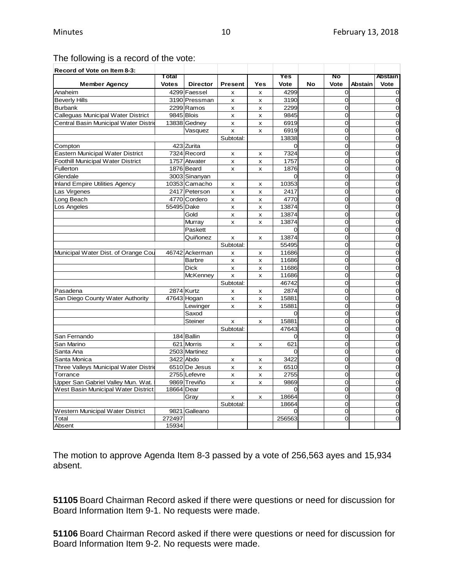# The following is a record of the vote:

| Record of Vote on Item 8-3:             |              |                 |                           |                |          |    |                |                |                |
|-----------------------------------------|--------------|-----------------|---------------------------|----------------|----------|----|----------------|----------------|----------------|
|                                         | Total        |                 |                           |                | Yes      |    | No             |                | Abstain        |
| <b>Member Agency</b>                    | <b>Votes</b> | <b>Director</b> | <b>Present</b>            | Yes            | Vote     | No | Vote           | <b>Abstain</b> | Vote           |
| Anaheim                                 |              | 4299 Faessel    | x                         | x              | 4299     |    | $\overline{0}$ |                | 0              |
| <b>Beverly Hills</b>                    |              | 3190 Pressman   | x                         | x              | 3190     |    | $\overline{0}$ |                | $\Omega$       |
| <b>Burbank</b>                          |              | 2299 Ramos      | $\boldsymbol{\mathsf{x}}$ | X              | 2299     |    | 0              |                | $\Omega$       |
| Calleguas Municipal Water District      | 9845 Blois   |                 | x                         | X              | 9845     |    | $\Omega$       |                | $\Omega$       |
| Central Basin Municipal Water Distri    |              | 13838 Gedney    | $\pmb{\times}$            | $\pmb{\times}$ | 6919     |    | $\Omega$       |                | $\Omega$       |
|                                         |              | Vasquez         | $\pmb{\times}$            | x              | 6919     |    | $\overline{0}$ |                | $\mathbf 0$    |
|                                         |              |                 | Subtotal:                 |                | 13838    |    | 0              |                | $\Omega$       |
| Compton                                 |              | 423 Zurita      |                           |                | $\Omega$ |    | $\Omega$       |                | $\mathbf 0$    |
| <b>Eastern Municipal Water District</b> |              | 7324 Record     | x                         | x              | 7324     |    | $\Omega$       |                | $\mathbf 0$    |
| Foothill Municipal Water District       |              | 1757 Atwater    | x                         | x              | 1757     |    | $\Omega$       |                | 0              |
| Fullerton                               |              | 1876 Beard      | X                         | x              | 1876     |    | $\Omega$       |                | $\Omega$       |
| Glendale                                |              | 3003 Sinanyan   |                           |                | $\Omega$ |    | $\overline{0}$ |                | $\overline{0}$ |
| <b>Inland Empire Utilities Agency</b>   |              | 10353 Camacho   | X                         | x              | 10353    |    | $\overline{0}$ |                | $\overline{0}$ |
| Las Virgenes                            |              | 2417 Peterson   | $\pmb{\times}$            | $\pmb{\times}$ | 2417     |    | $\Omega$       |                | $\mathbf 0$    |
| Long Beach                              |              | 4770 Cordero    | X                         | x              | 4770     |    | 0              |                | $\Omega$       |
| Los Angeles                             | 55495 Dake   |                 | x                         | x              | 13874    |    | $\overline{0}$ |                | $\mathbf 0$    |
|                                         |              | Gold            | x                         | x              | 13874    |    | 0              |                | $\mathbf 0$    |
|                                         |              | Murray          | x                         | X              | 13874    |    | $\Omega$       |                | $\Omega$       |
|                                         |              | Paskett         |                           |                |          |    | $\Omega$       |                | $\mathbf 0$    |
|                                         |              | Quiñonez        | x                         | x              | 13874    |    | $\overline{O}$ |                | $\overline{0}$ |
|                                         |              |                 | Subtotal:                 |                | 55495    |    | 0              |                | $\overline{0}$ |
| Municipal Water Dist. of Orange Cou     |              | 46742 Ackerman  | X                         | X              | 11686    |    | $\Omega$       |                | $\Omega$       |
|                                         |              | <b>Barbre</b>   | X                         | x              | 11686    |    | $\Omega$       |                | $\mathbf 0$    |
|                                         |              | <b>Dick</b>     | x                         | x              | 11686    |    | $\Omega$       |                | $\Omega$       |
|                                         |              | <b>McKenney</b> | x                         | x              | 11686    |    | 0              |                | $\mathbf 0$    |
|                                         |              |                 | Subtotal:                 |                | 46742    |    | $\overline{O}$ |                | $\Omega$       |
| Pasadena                                |              | 2874 Kurtz      | x                         | x              | 2874     |    | $\overline{0}$ |                | $\mathbf 0$    |
| San Diego County Water Authority        |              | 47643 Hogan     | X                         | x              | 15881    |    | $\Omega$       |                | $\mathbf 0$    |
|                                         |              | Lewinger        | X                         | x              | 15881    |    | $\Omega$       |                | 0              |
|                                         |              | Saxod           |                           |                | $\Omega$ |    | 0              |                | $\Omega$       |
|                                         |              | Steiner         | x                         | x              | 15881    |    | $\overline{0}$ |                | $\overline{0}$ |
|                                         |              |                 | Subtotal:                 |                | 47643    |    | 0              |                | $\overline{0}$ |
| San Fernando                            |              | 184 Ballin      |                           |                | $\Omega$ |    | $\Omega$       |                | $\Omega$       |
| San Marino                              |              | 621 Morris      | X                         | x              | 621      |    | $\overline{0}$ |                | $\Omega$       |
| Santa Ana                               |              | 2503 Martinez   |                           |                | $\Omega$ |    | $\overline{0}$ |                | $\mathbf 0$    |
| Santa Monica                            |              | 3422 Abdo       | x                         | x              | 3422     |    | 0              |                | $\mathbf 0$    |
| Three Valleys Municipal Water Distri    |              | 6510 De Jesus   | x                         | X              | 6510     |    | $\Omega$       |                | $\Omega$       |
| Torrance                                |              | 2755 Lefevre    | x                         | x              | 2755     |    | $\Omega$       |                | $\mathbf 0$    |
| Upper San Gabriel Valley Mun. Wat.      |              | 9869 Treviño    | X                         | x              | 9869     |    | $\Omega$       |                | $\overline{0}$ |
| West Basin Municipal Water District     | 18664 Dear   |                 |                           |                | $\Omega$ |    | 0              |                | $\mathbf 0$    |
|                                         |              | Gray            | x                         | x              | 18664    |    | $\Omega$       |                | $\mathbf 0$    |
|                                         |              |                 | Subtotal:                 |                | 18664    |    | $\Omega$       |                | $\mathbf 0$    |
| Western Municipal Water District        |              | 9821 Galleano   |                           |                |          |    | $\Omega$       |                | $\Omega$       |
| Total                                   | 272497       |                 |                           |                | 256563   |    | $\overline{0}$ |                | $\overline{0}$ |
| Absent                                  | 15934        |                 |                           |                |          |    |                |                |                |

The motion to approve Agenda Item 8-3 passed by a vote of 256,563 ayes and 15,934 absent.

**51105** Board Chairman Record asked if there were questions or need for discussion for Board Information Item 9-1. No requests were made.

**51106** Board Chairman Record asked if there were questions or need for discussion for Board Information Item 9-2. No requests were made.